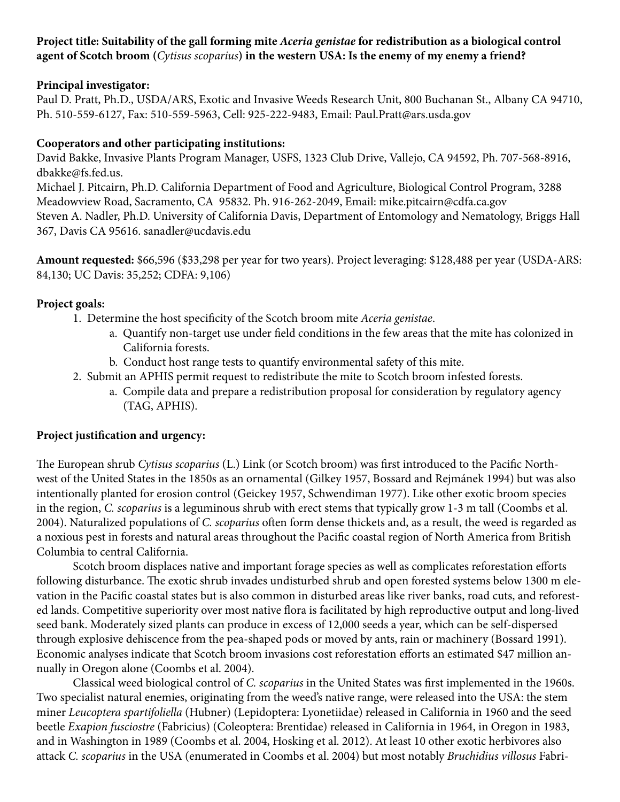# **Project title: Suitability of the gall forming mite** *Aceria genistae* **for redistribution as a biological control agent of Scotch broom (***Cytisus scoparius***) in the western USA: Is the enemy of my enemy a friend?**

# **Principal investigator:**

Paul D. Pratt, Ph.D., USDA/ARS, Exotic and Invasive Weeds Research Unit, 800 Buchanan St., Albany CA 94710, Ph. 510-559-6127, Fax: 510-559-5963, Cell: 925-222-9483, Email: Paul.Pratt@ars.usda.gov

# **Cooperators and other participating institutions:**

David Bakke, Invasive Plants Program Manager, USFS, 1323 Club Drive, Vallejo, CA 94592, Ph. 707-568-8916, dbakke@fs.fed.us.

Michael J. Pitcairn, Ph.D. California Department of Food and Agriculture, Biological Control Program, 3288 Meadowview Road, Sacramento, CA 95832. Ph. 916-262-2049, Email: mike.pitcairn@cdfa.ca.gov Steven A. Nadler, Ph.D. University of California Davis, Department of Entomology and Nematology, Briggs Hall 367, Davis CA 95616. sanadler@ucdavis.edu

**Amount requested:** \$66,596 (\$33,298 per year for two years). Project leveraging: \$128,488 per year (USDA-ARS: 84,130; UC Davis: 35,252; CDFA: 9,106)

# **Project goals:**

- 1. Determine the host specificity of the Scotch broom mite *Aceria genistae*.
	- a. Quantify non-target use under field conditions in the few areas that the mite has colonized in California forests.
	- b. Conduct host range tests to quantify environmental safety of this mite.
- 2. Submit an APHIS permit request to redistribute the mite to Scotch broom infested forests.
	- a. Compile data and prepare a redistribution proposal for consideration by regulatory agency (TAG, APHIS).

### **Project justification and urgency:**

The European shrub *Cytisus scoparius* (L.) Link (or Scotch broom) was first introduced to the Pacific Northwest of the United States in the 1850s as an ornamental (Gilkey 1957, Bossard and Rejmánek 1994) but was also intentionally planted for erosion control (Geickey 1957, Schwendiman 1977). Like other exotic broom species in the region, *C. scoparius* is a leguminous shrub with erect stems that typically grow 1-3 m tall (Coombs et al. 2004). Naturalized populations of *C. scoparius* often form dense thickets and, as a result, the weed is regarded as a noxious pest in forests and natural areas throughout the Pacific coastal region of North America from British Columbia to central California.

Scotch broom displaces native and important forage species as well as complicates reforestation efforts following disturbance. The exotic shrub invades undisturbed shrub and open forested systems below 1300 m elevation in the Pacific coastal states but is also common in disturbed areas like river banks, road cuts, and reforested lands. Competitive superiority over most native flora is facilitated by high reproductive output and long-lived seed bank. Moderately sized plants can produce in excess of 12,000 seeds a year, which can be self-dispersed through explosive dehiscence from the pea-shaped pods or moved by ants, rain or machinery (Bossard 1991). Economic analyses indicate that Scotch broom invasions cost reforestation efforts an estimated \$47 million annually in Oregon alone (Coombs et al. 2004).

Classical weed biological control of *C. scoparius* in the United States was first implemented in the 1960s. Two specialist natural enemies, originating from the weed's native range, were released into the USA: the stem miner *Leucoptera spartifoliella* (Hubner) (Lepidoptera: Lyonetiidae) released in California in 1960 and the seed beetle *Exapion fusciostre* (Fabricius) (Coleoptera: Brentidae) released in California in 1964, in Oregon in 1983, and in Washington in 1989 (Coombs et al. 2004, Hosking et al. 2012). At least 10 other exotic herbivores also attack *C. scoparius* in the USA (enumerated in Coombs et al. 2004) but most notably *Bruchidius villosus* Fabri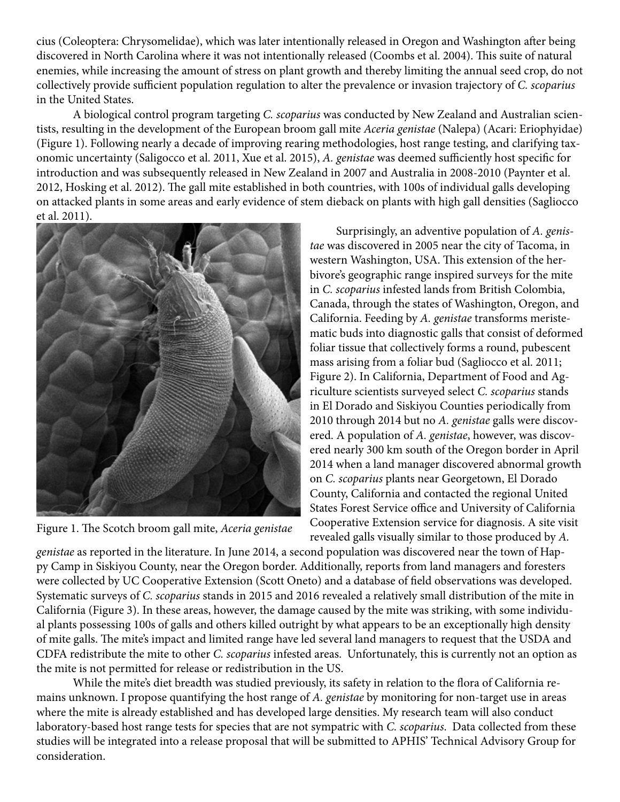cius (Coleoptera: Chrysomelidae), which was later intentionally released in Oregon and Washington after being discovered in North Carolina where it was not intentionally released (Coombs et al. 2004). This suite of natural enemies, while increasing the amount of stress on plant growth and thereby limiting the annual seed crop, do not collectively provide sufficient population regulation to alter the prevalence or invasion trajectory of *C. scoparius* in the United States.

A biological control program targeting *C. scoparius* was conducted by New Zealand and Australian scientists, resulting in the development of the European broom gall mite *Aceria genistae* (Nalepa) (Acari: Eriophyidae) (Figure 1). Following nearly a decade of improving rearing methodologies, host range testing, and clarifying taxonomic uncertainty (Saligocco et al. 2011, Xue et al. 2015), *A. genistae* was deemed sufficiently host specific for introduction and was subsequently released in New Zealand in 2007 and Australia in 2008-2010 (Paynter et al. 2012, Hosking et al. 2012). The gall mite established in both countries, with 100s of individual galls developing on attacked plants in some areas and early evidence of stem dieback on plants with high gall densities (Sagliocco et al. 2011).



Figure 1. The Scotch broom gall mite, *Aceria genistae*

 Surprisingly, an adventive population of *A. genistae* was discovered in 2005 near the city of Tacoma, in western Washington, USA. This extension of the herbivore's geographic range inspired surveys for the mite in *C. scoparius* infested lands from British Colombia, Canada, through the states of Washington, Oregon, and California. Feeding by *A. genistae* transforms meristematic buds into diagnostic galls that consist of deformed foliar tissue that collectively forms a round, pubescent mass arising from a foliar bud (Sagliocco et al. 2011; Figure 2). In California, Department of Food and Agriculture scientists surveyed select *C. scoparius* stands in El Dorado and Siskiyou Counties periodically from 2010 through 2014 but no *A. genistae* galls were discovered. A population of *A. genistae*, however, was discovered nearly 300 km south of the Oregon border in April 2014 when a land manager discovered abnormal growth on *C. scoparius* plants near Georgetown, El Dorado County, California and contacted the regional United States Forest Service office and University of California Cooperative Extension service for diagnosis. A site visit revealed galls visually similar to those produced by *A.* 

*genistae* as reported in the literature. In June 2014, a second population was discovered near the town of Happy Camp in Siskiyou County, near the Oregon border. Additionally, reports from land managers and foresters were collected by UC Cooperative Extension (Scott Oneto) and a database of field observations was developed. Systematic surveys of *C. scoparius* stands in 2015 and 2016 revealed a relatively small distribution of the mite in California (Figure 3). In these areas, however, the damage caused by the mite was striking, with some individual plants possessing 100s of galls and others killed outright by what appears to be an exceptionally high density of mite galls. The mite's impact and limited range have led several land managers to request that the USDA and CDFA redistribute the mite to other *C. scoparius* infested areas. Unfortunately, this is currently not an option as the mite is not permitted for release or redistribution in the US.

While the mite's diet breadth was studied previously, its safety in relation to the flora of California remains unknown. I propose quantifying the host range of *A. genistae* by monitoring for non-target use in areas where the mite is already established and has developed large densities. My research team will also conduct laboratory-based host range tests for species that are not sympatric with *C. scoparius*. Data collected from these studies will be integrated into a release proposal that will be submitted to APHIS' Technical Advisory Group for consideration.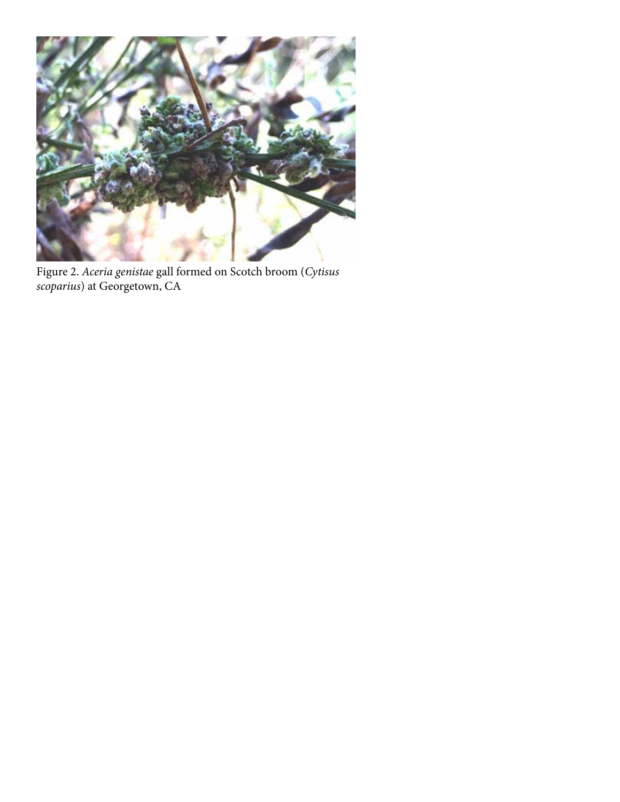

Figure 2. *Aceria genistae* gall formed on Scotch broom (*Cytisus scoparius*) at Georgetown, CA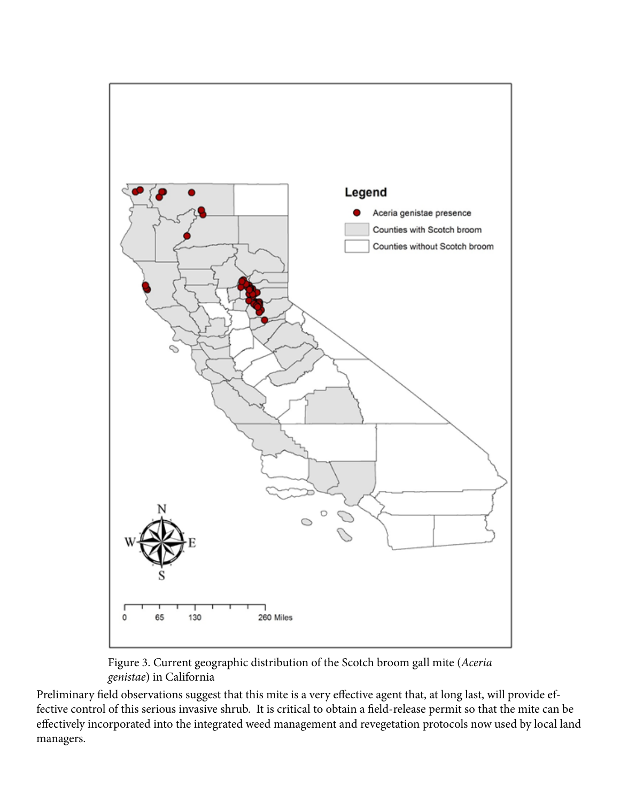

Figure 3. Current geographic distribution of the Scotch broom gall mite (*Aceria genistae*) in California

Preliminary field observations suggest that this mite is a very effective agent that, at long last, will provide effective control of this serious invasive shrub. It is critical to obtain a field-release permit so that the mite can be effectively incorporated into the integrated weed management and revegetation protocols now used by local land managers.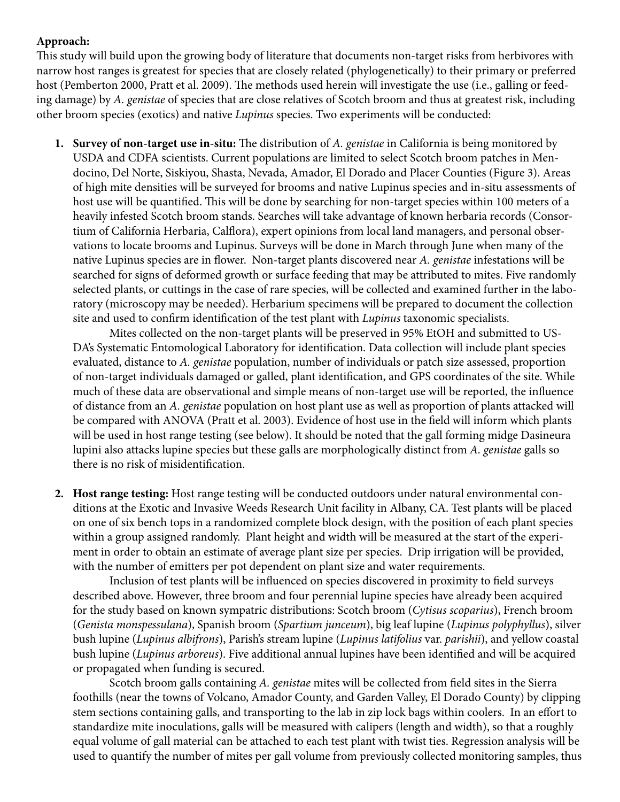# **Approach:**

This study will build upon the growing body of literature that documents non-target risks from herbivores with narrow host ranges is greatest for species that are closely related (phylogenetically) to their primary or preferred host (Pemberton 2000, Pratt et al. 2009). The methods used herein will investigate the use (i.e., galling or feeding damage) by *A. genistae* of species that are close relatives of Scotch broom and thus at greatest risk, including other broom species (exotics) and native *Lupinus* species. Two experiments will be conducted:

**1. Survey of non-target use in-situ:** The distribution of *A. genistae* in California is being monitored by USDA and CDFA scientists. Current populations are limited to select Scotch broom patches in Mendocino, Del Norte, Siskiyou, Shasta, Nevada, Amador, El Dorado and Placer Counties (Figure 3). Areas of high mite densities will be surveyed for brooms and native Lupinus species and in-situ assessments of host use will be quantified. This will be done by searching for non-target species within 100 meters of a heavily infested Scotch broom stands. Searches will take advantage of known herbaria records (Consortium of California Herbaria, Calflora), expert opinions from local land managers, and personal observations to locate brooms and Lupinus. Surveys will be done in March through June when many of the native Lupinus species are in flower. Non-target plants discovered near *A. genistae* infestations will be searched for signs of deformed growth or surface feeding that may be attributed to mites. Five randomly selected plants, or cuttings in the case of rare species, will be collected and examined further in the laboratory (microscopy may be needed). Herbarium specimens will be prepared to document the collection site and used to confirm identification of the test plant with *Lupinus* taxonomic specialists.

Mites collected on the non-target plants will be preserved in 95% EtOH and submitted to US-DA's Systematic Entomological Laboratory for identification. Data collection will include plant species evaluated, distance to *A. genistae* population, number of individuals or patch size assessed, proportion of non-target individuals damaged or galled, plant identification, and GPS coordinates of the site. While much of these data are observational and simple means of non-target use will be reported, the influence of distance from an *A. genistae* population on host plant use as well as proportion of plants attacked will be compared with ANOVA (Pratt et al. 2003). Evidence of host use in the field will inform which plants will be used in host range testing (see below). It should be noted that the gall forming midge Dasineura lupini also attacks lupine species but these galls are morphologically distinct from *A. genistae* galls so there is no risk of misidentification.

**2. Host range testing:** Host range testing will be conducted outdoors under natural environmental conditions at the Exotic and Invasive Weeds Research Unit facility in Albany, CA. Test plants will be placed on one of six bench tops in a randomized complete block design, with the position of each plant species within a group assigned randomly. Plant height and width will be measured at the start of the experiment in order to obtain an estimate of average plant size per species. Drip irrigation will be provided, with the number of emitters per pot dependent on plant size and water requirements.

Inclusion of test plants will be influenced on species discovered in proximity to field surveys described above. However, three broom and four perennial lupine species have already been acquired for the study based on known sympatric distributions: Scotch broom (*Cytisus scoparius*), French broom (*Genista monspessulana*), Spanish broom (*Spartium junceum*), big leaf lupine (*Lupinus polyphyllus*), silver bush lupine (*Lupinus albifrons*), Parish's stream lupine (*Lupinus latifolius* var. *parishii*), and yellow coastal bush lupine (*Lupinus arboreus*). Five additional annual lupines have been identified and will be acquired or propagated when funding is secured.

Scotch broom galls containing *A. genistae* mites will be collected from field sites in the Sierra foothills (near the towns of Volcano, Amador County, and Garden Valley, El Dorado County) by clipping stem sections containing galls, and transporting to the lab in zip lock bags within coolers. In an effort to standardize mite inoculations, galls will be measured with calipers (length and width), so that a roughly equal volume of gall material can be attached to each test plant with twist ties. Regression analysis will be used to quantify the number of mites per gall volume from previously collected monitoring samples, thus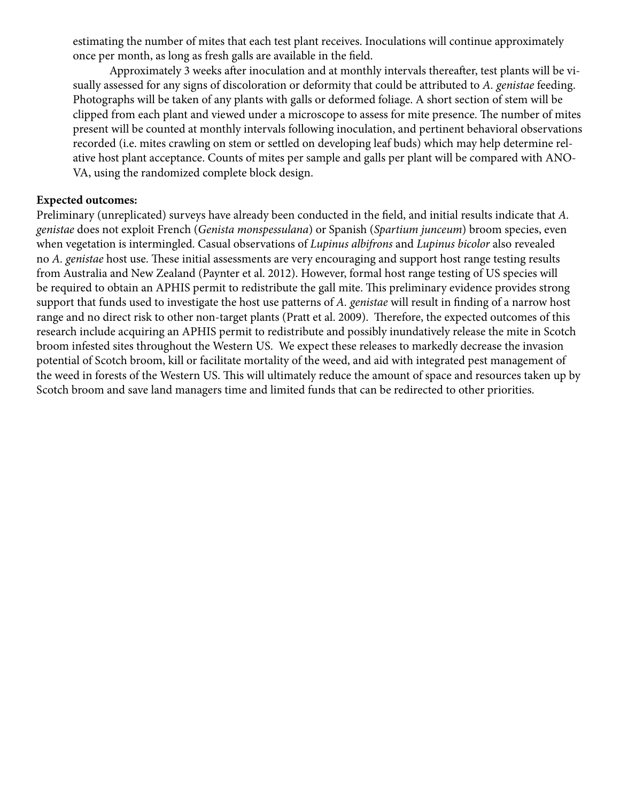estimating the number of mites that each test plant receives. Inoculations will continue approximately once per month, as long as fresh galls are available in the field.

Approximately 3 weeks after inoculation and at monthly intervals thereafter, test plants will be visually assessed for any signs of discoloration or deformity that could be attributed to *A. genistae* feeding. Photographs will be taken of any plants with galls or deformed foliage. A short section of stem will be clipped from each plant and viewed under a microscope to assess for mite presence. The number of mites present will be counted at monthly intervals following inoculation, and pertinent behavioral observations recorded (i.e. mites crawling on stem or settled on developing leaf buds) which may help determine relative host plant acceptance. Counts of mites per sample and galls per plant will be compared with ANO-VA, using the randomized complete block design.

# **Expected outcomes:**

Preliminary (unreplicated) surveys have already been conducted in the field, and initial results indicate that *A. genistae* does not exploit French (*Genista monspessulana*) or Spanish (*Spartium junceum*) broom species, even when vegetation is intermingled. Casual observations of *Lupinus albifrons* and *Lupinus bicolor* also revealed no *A. genistae* host use. These initial assessments are very encouraging and support host range testing results from Australia and New Zealand (Paynter et al. 2012). However, formal host range testing of US species will be required to obtain an APHIS permit to redistribute the gall mite. This preliminary evidence provides strong support that funds used to investigate the host use patterns of *A. genistae* will result in finding of a narrow host range and no direct risk to other non-target plants (Pratt et al. 2009). Therefore, the expected outcomes of this research include acquiring an APHIS permit to redistribute and possibly inundatively release the mite in Scotch broom infested sites throughout the Western US. We expect these releases to markedly decrease the invasion potential of Scotch broom, kill or facilitate mortality of the weed, and aid with integrated pest management of the weed in forests of the Western US. This will ultimately reduce the amount of space and resources taken up by Scotch broom and save land managers time and limited funds that can be redirected to other priorities.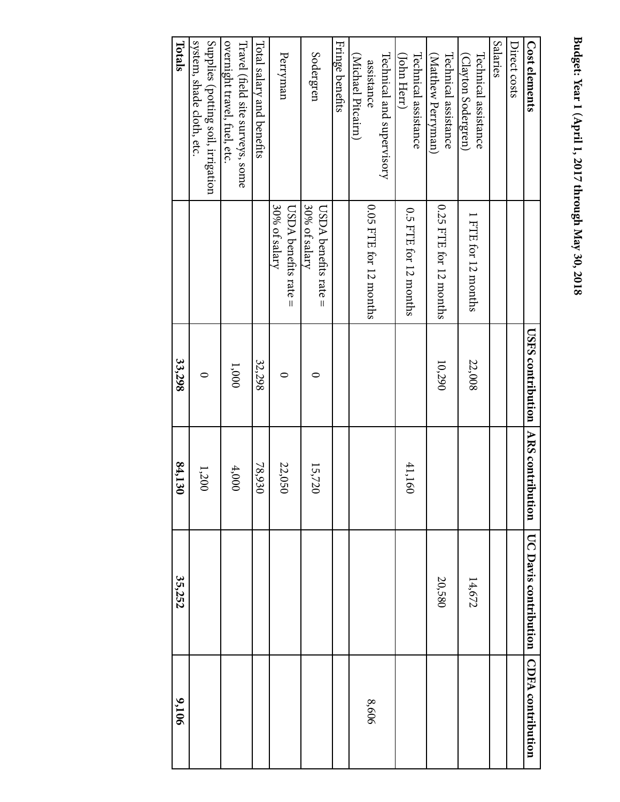# Budget: Year 1 (April 1, 2017 through May 30, 2018 **Budget: Year 1 (April 1, 2017 through May 30, 2018**

| 9,106                    | 35,252                       | 84,130 | 33,298                                     |                                           | Totals                                                          |
|--------------------------|------------------------------|--------|--------------------------------------------|-------------------------------------------|-----------------------------------------------------------------|
|                          |                              | 1,200  | $\circ$                                    |                                           | Supplies (potting soil, irrigation<br>system, shade cloth, etc. |
|                          |                              | 4,000  | $1,000\,$                                  |                                           | overnight travel, fuel, etc<br>Travel (field site surveys, some |
|                          |                              | 78,930 | 32,298                                     |                                           | Total salary and benefits                                       |
|                          |                              | 22,050 | ⊂                                          | 30% of salary<br>$USDA$ benefits rate $=$ | Perryman                                                        |
|                          |                              | 15,720 | ⊂                                          | 30% of salary<br>$USDA$ benefits rate $=$ | Sodergren                                                       |
|                          |                              |        |                                            |                                           | Fringe benefits                                                 |
| 8,606                    |                              |        |                                            | 0.05 FTE for 12 months                    | Technical and supervisory<br>(Michael Pitcairn)<br>assistance   |
|                          |                              | 41,160 |                                            | 0.5 FTE for 12 months                     | Technical assistance<br>(John Herr)                             |
|                          | 20,580                       |        | 10,290                                     | 0.25 FTE for 12 months                    | Technical assistance<br>(Matthew Perryman)                      |
|                          | 14,672                       |        | 22,008                                     | 1 FTE for 12 months                       | Technical assistance<br>(Clayton Sodergren)                     |
|                          |                              |        |                                            |                                           | Salaries                                                        |
|                          |                              |        |                                            |                                           | Direct costs                                                    |
| <b>CDFA</b> contribution | <b>UC Davis contribution</b> |        | <b>CISES contribution</b> NRS contribution |                                           | Cost elements                                                   |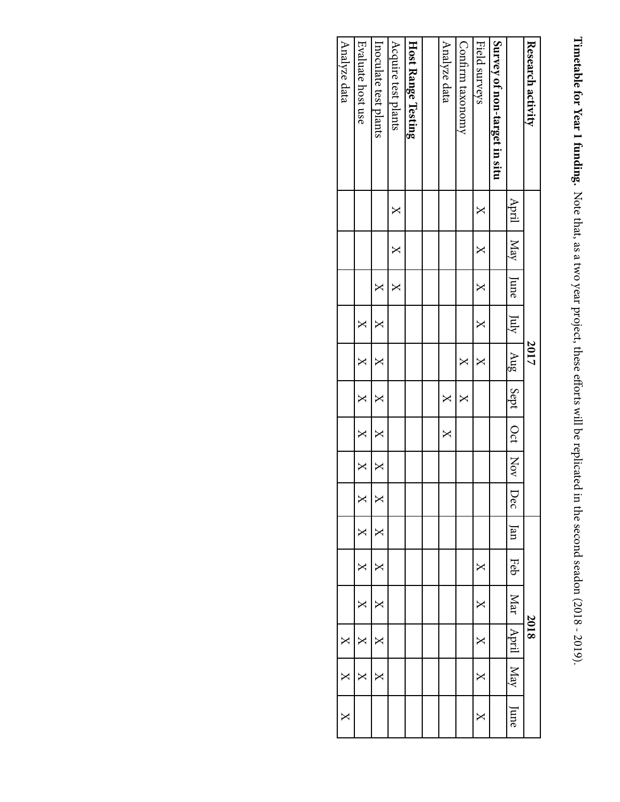Timetable for Year 1 funding. Note that, as a two year project, these efforts will be replicated in the second seadon (2018 - 2019). **Timetable for Year 1 funding.** Note that, as a two year project, these efforts will be replicated in the second seadon (2018 - 2019).

| Analyze data            | Evaluate host use         | Inoculate test plants | Acquire test plants | Host Range Testing | Analyze data | Confirm taxonomy        | Field surveys | Survey of non-target in situ |                         | Research activity |
|-------------------------|---------------------------|-----------------------|---------------------|--------------------|--------------|-------------------------|---------------|------------------------------|-------------------------|-------------------|
|                         |                           |                       | X                   |                    |              |                         | $\mathsf{X}$  |                              |                         |                   |
|                         |                           |                       | $\times$            |                    |              |                         | $\times$      |                              | April   May             |                   |
|                         |                           | X                     | ×                   |                    |              |                         | $\mathbf{X}$  |                              | $\ln$                   |                   |
|                         | X                         | ≍                     |                     |                    |              |                         | $\times$      |                              | $\frac{1}{2}$           |                   |
|                         | X                         | ×                     |                     |                    |              | X                       | $\mathsf{X}$  |                              | $1 \text{ kmg}$         | 2017              |
|                         | $\bm{\times}$             | ×                     |                     |                    | $\times$     | $\overline{\mathsf{X}}$ |               |                              | Sept   Oct   Nov        |                   |
|                         | X                         | X                     |                     |                    | $\times$     |                         |               |                              |                         |                   |
|                         | $\boldsymbol{\mathsf{X}}$ | ×                     |                     |                    |              |                         |               |                              |                         |                   |
|                         | X                         | l×                    |                     |                    |              |                         |               |                              | Dec                     |                   |
|                         | $\overline{\mathsf{X}}$   | X                     |                     |                    |              |                         |               |                              | $\ln$                   |                   |
|                         | X                         | X                     |                     |                    |              |                         | X             |                              | Feb                     |                   |
|                         | $\boldsymbol{\mathsf{X}}$ | X                     |                     |                    |              |                         | X             |                              | Mar <sub>1</sub>        |                   |
| $\mathsf{X}$            | ×                         | X                     |                     |                    |              |                         | X             |                              | April                   | 2018              |
| X                       | ×                         |                       |                     |                    |              |                         | $\mathsf{X}$  |                              | $\overline{\text{Max}}$ |                   |
| $\overline{\mathsf{X}}$ |                           |                       |                     |                    |              |                         | $\Join$       |                              | June                    |                   |